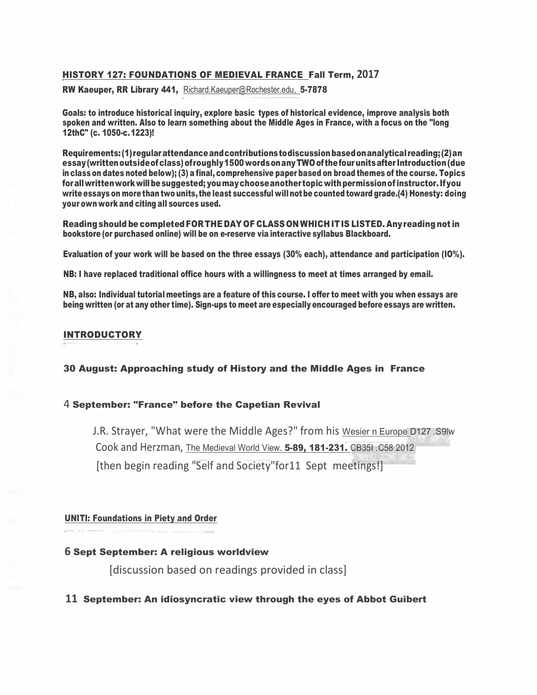### HISTORY 127: FOUNDATIONS OF MEDIEVAL FRANCE Fall Term, **2017**

RW Kaeuper, RR Library 441, [Richard.Kaeuper@Rochester.edu,](mailto:Richard.Kaeuper@Rochester.edu) 5-7878

Goals: to introduce historical inquiry, explore basic types of historical evidence, improve analysis both spoken and written. Also to learn something about the Middle Ages in France, with a focus on the "long 12thC" (c. 1050-c.1223)!

Requirements:(1)regularattendanceandcontributionstodiscussionbasedonanalytical reading;(2)an essay(writtenoutsideofclass)ofroughly1500 wordsonany TWO of thefourunitsafter Introduction(due in class on dates noted below); (3) a final, comprehensive paper based on broad themes of the course. Topics forallwrittenworkwillbesuggested; youmaychooseanother topicwithpermissionofinstructor.Ifyou write essays on more than two units, the least successful will notbe counted toward grade.(4) Honesty: doing your own work and citing all sources used.

Reading should be completed FORTHE DAY OF CLASS ON WHICH IT IS LISTED. Anyreading not in bookstore (or purchased online) will be on e-reserve via interactive syllabus Blackboard.

Evaluation of your work will be based on the three essays (30% each), attendance and participation (IO%).

NB: I have replaced traditional office hours with a willingness to meet at times arranged by email.

NB, also: Individual tutorial meetings are a feature of this course. I offer to meet with you when essays are being written (or at any other time). Sign-ups to meet are especially encouraged before essays are written.

### INTRODUCTORY

30 August: Approaching study of History and the Middle Ages in France

### 4 September: "France" before the Capetian Revival

J.R. Strayer, "What were the Middle Ages?" from his Wesier n Europe D127 .S9lw Cook and Herzman, The Medieval World View. 5-89, 181-231. CB35I .C58 2012 [then begin reading "Self and Society"for11 Sept meetings!]

### UNITI: Foundations in Piety and Order

## **6** Sept September: A religious worldview

[discussion based on readings provided in class]

### **11** September: An idiosyncratic view through the eyes of Abbot Guibert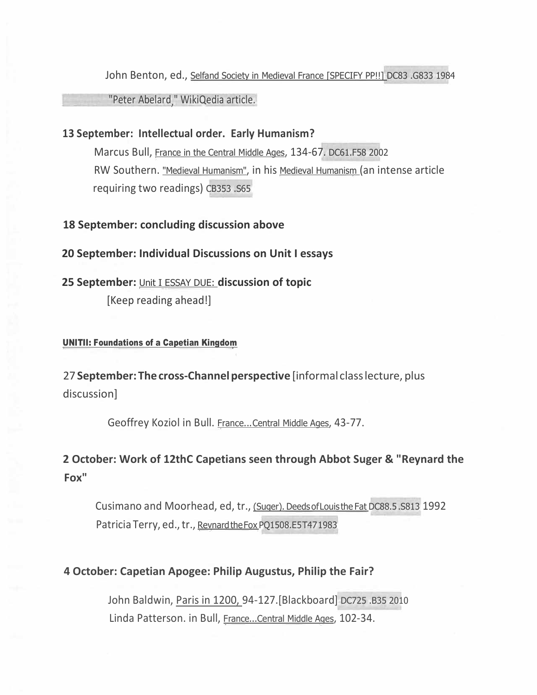John Benton, ed., Selfand Society in Medieval France [SPECIFY PP!!] DC83 .G833 1984

"Peter Abelard," WikiQedia article.

# **13 September: Intellectual order. Early Humanism?**

Marcus Bull, France in the Central Middle Ages, 134-67. DC61.F58 2002 RW Southern. "Medieval Humanism", in his Medieval Humanism (an intense article requiring two readings) CB353 .S65

## **18 September: concluding discussion above**

## **20 September: Individual Discussions on Unit I essays**

**25 September:** Unit I ESSAY DUE: **discussion of topic** [Keep reading ahead!]

## UNITII: Foundations of a Capetian Kingdom

27 **September: The cross-Channel perspective** [informal class lecture, plus discussion]

Geoffrey Koziol in Bull. France...Central Middle Ages, 43-77.

**2 October: Work of 12thC Capetians seen through Abbot Suger & "Reynard the Fox"**

Cusimano and Moorhead, ed, tr., (Suger). DeedsofLouis the Fat DC88.5.S813 1992 Patricia Terry, ed., tr., Revnard the Fox PQ1508.E5T471983

# **4 October: Capetian Apogee: Philip Augustus, Philip the Fair?**

John Baldwin, Paris in 1200, 94-127.[Blackboard] DC725 .B35 2010 Linda Patterson. in Bull, France...Central Middle Ages, 102-34.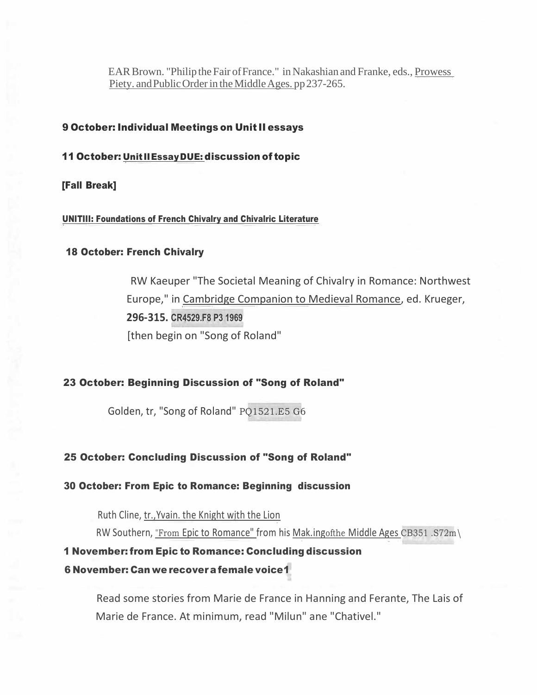EAR Brown. "Philip the Fair of France." in Nakashian and Franke, eds., Prowess Piety. and Public Order in the Middle Ages. pp 237-265.

### 9 October: Individual Meetings on Unit II essays

#### 11 October: Unit IIEssayDUE: discussion of topic

[Fall Break]

UNITIII: Foundations of French Chivalry and Chivalric Literature

### 18 October: French Chivalry

RW Kaeuper "The Societal Meaning of Chivalry in Romance: Northwest Europe," in Cambridge Companion to Medieval Romance, ed. Krueger, **296-315. CR4529.F8 P3 1969** [then begin on "Song of Roland"

### 23 October: Beginning Discussion of "Song of Roland"

Golden, tr, "Song of Roland" PQ1521.E5 G6

#### 25 October: Concluding Discussion of "Song of Roland"

30 October: From Epic to Romance: Beginning discussion

Ruth Cline, tr.,Yvain. the Knight with the Lion

RW Southern, "From Epic to Romance" from his Mak.ingofthe Middle Ages CB351 .S72m\

## 1 November: from Epic to Romance: Concluding discussion

### 6 November: Can we recovera female voice1

Read some stories from Marie de France in Hanning and Ferante, The Lais of Marie de France. At minimum, read "Milun" ane "Chativel."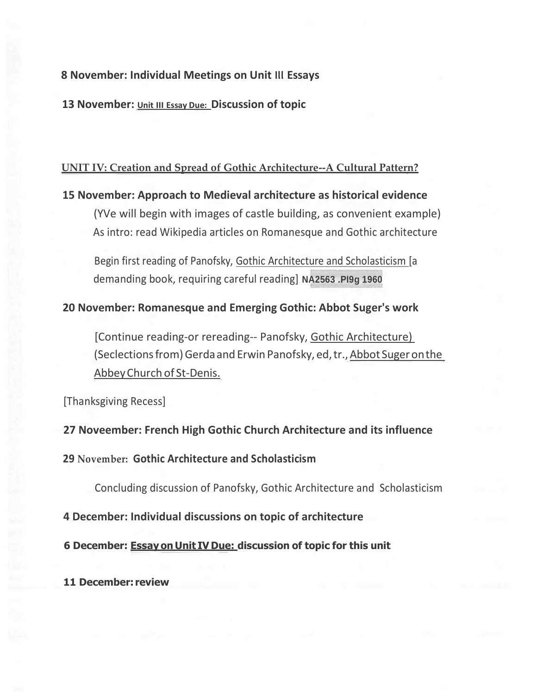## **8 November: Individual Meetings on Unit Ill Essays**

**13 November: Unit III Essay Due: Discussion of topic**

## **UNIT IV: Creation and Spread of Gothic Architecture--A Cultural Pattern?**

# **15 November: Approach to Medieval architecture as historical evidence**

(YVe will begin with images of castle building, as convenient example) As intro: read Wikipedia articles on Romanesque and Gothic architecture

Begin first reading of Panofsky, Gothic Architecture and Scholasticism [a demanding book, requiring careful reading] **NA2563 .PI9g 1960**

## **20 November: Romanesque and Emerging Gothic: Abbot Suger's work**

[Continue reading-or rereading-- Panofsky, Gothic Architecture) (Seclections from) Gerda and Erwin Panofsky, ed, tr., Abbot Suger on the AbbeyChurch of St-Denis.

[Thanksgiving Recess]

# **27 Noveember: French High Gothic Church Architecture and its influence**

## **29 November: Gothic Architecture and Scholasticism**

Concluding discussion of Panofsky, Gothic Architecture and Scholasticism

## **4 December: Individual discussions on topic of architecture**

## **6 December: Essay on Unit IV Due: discussion of topic for this unit**

## **11 December: review**